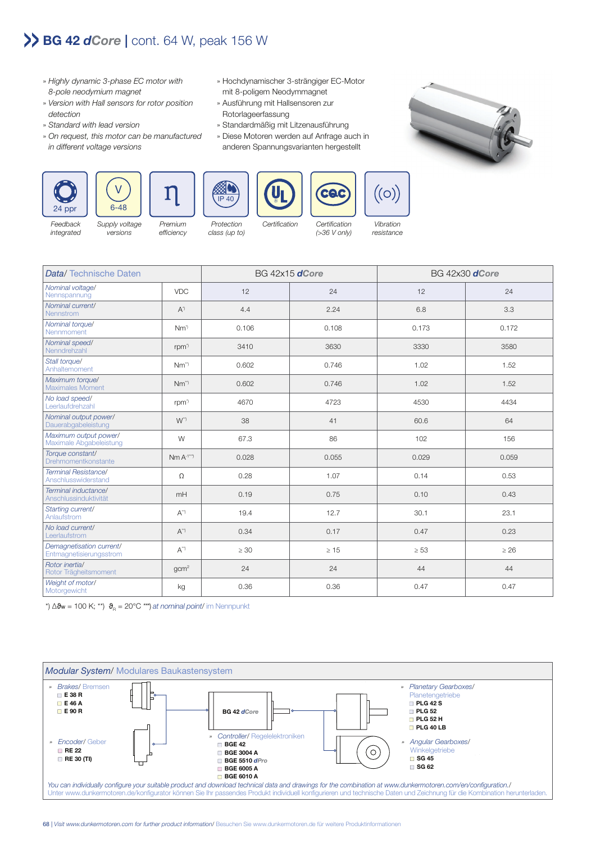## **BG 42** *dCore* **|** cont. 64 W, peak 156 W

- » Highly dynamic 3-phase EC motor with 8-pole neodymium magnet
- » Version with Hall sensors for rotor position detection
- » Standard with lead version
- » On request, this motor can be manufactured in different voltage versions
- » Hochdynamischer 3-strängiger EC-Motor mit 8-poligem Neodymmagnet
- » Ausführung mit Hallsensoren zur Rotorlageerfassung
- » Standardmäßig mit Litzenausführung
- » Diese Motoren werden auf Anfrage auch in anderen Spannungsvarianten hergestellt











Data/ Technische Daten BG 42x15 *dCore* BG 42x30 *dCore* Nennspannung VDC 12 24 12 24 Nennstrom **At the Contract of A**\* (and A<sup>\*</sup>) 4.4 2.24 (and A<sup>\*</sup>) 3.3 Nennm*ent* Orguer Nm<sup>\*</sup> Nm<sup>\*</sup> 0.106 0.108 0.173 0.173 0.172<br>Nennmoment Nenndrehzahl rpm\*) 3410 3630 3330 3580 Anhaltemoment Nm\*\*) 0.602 0.746 1.02 1.52 Maximales Moment **Nm<sup>\*\*</sup>** Nm<sup>\*\*</sup> **Nm<sup>\*\*</sup>** 0.602 1.746 1.02 1.02 1.52 no bad speedr rom (\* 1434)<br>Leerlaufdrehzahl rpm\* | 4670 + 4723 | 4530 + 4530 + 4434 Dauerabgabeleistung W\*\*) 38 41 60.6 64 Maximale Abgabeleistung W 67.3 86 102 156 Premium efficiency Protection class (up to) Certification Certification (>36 V only) Vibration resistance

Feedback integrated

Nominal voltage/

Nominal current/

Nominal torque/

Nominal speed/

Maximum torque/<br>Maximales Momen

Nominal output power/

Maximum output power/<br>Maximale Abgabeleistung

Torque constant/<br>Drehmomentkonstante

Terminal Resistance/<br>Anschlusswiderstanc

Demagnetisation current/

Rotor inertia/<br>Rotor Trägheitsmoment

Weight of motor/<br>Motorgewicht

No load speed/<br>Leerlaufdrehzah

Stall torque/

Supply voltage versions

| <u> IGHTIINGI I IGOIOLGI IUGA</u><br>Anschlusswiderstand |                    | 0.28 | 1.07 | 0.14 | 0.53 |
|----------------------------------------------------------|--------------------|------|------|------|------|
| Terminal inductance/<br>Anschlussinduktivität            | mH                 | 0.19 | 0.75 | 0.10 | 0.43 |
| Starting current/<br>Anlaufstrom                         | $A^{\prime\prime}$ | 19.4 | 12.7 | 30.1 | 23.1 |
| No load current/<br>Leerlaufstrom                        | $A^{\prime\prime}$ | 0.34 | 0.17 | 0.47 | 0.23 |

\*)  $\Delta \vartheta_{\rm w}$  = 100 K; \*\*)  $\vartheta_{\rm R}$  = 20°C \*\*\*) at nominal point/ im Nennpunkt



Porque constanti<br>Drehmomentkonstante Mm A<sup>-1\*\*</sup> | 0.028 0.055 0.055 0.029 0.029 0.059

Entmagnetisierungsstrom A\*\*) ≥ 30 ≥ 15 ≥ 53 ≥ 26

Rotor Trägheitsmoment gcm2 24 24 44 44

Motorgewicht kg 0.36 0.36 0.47 0.47